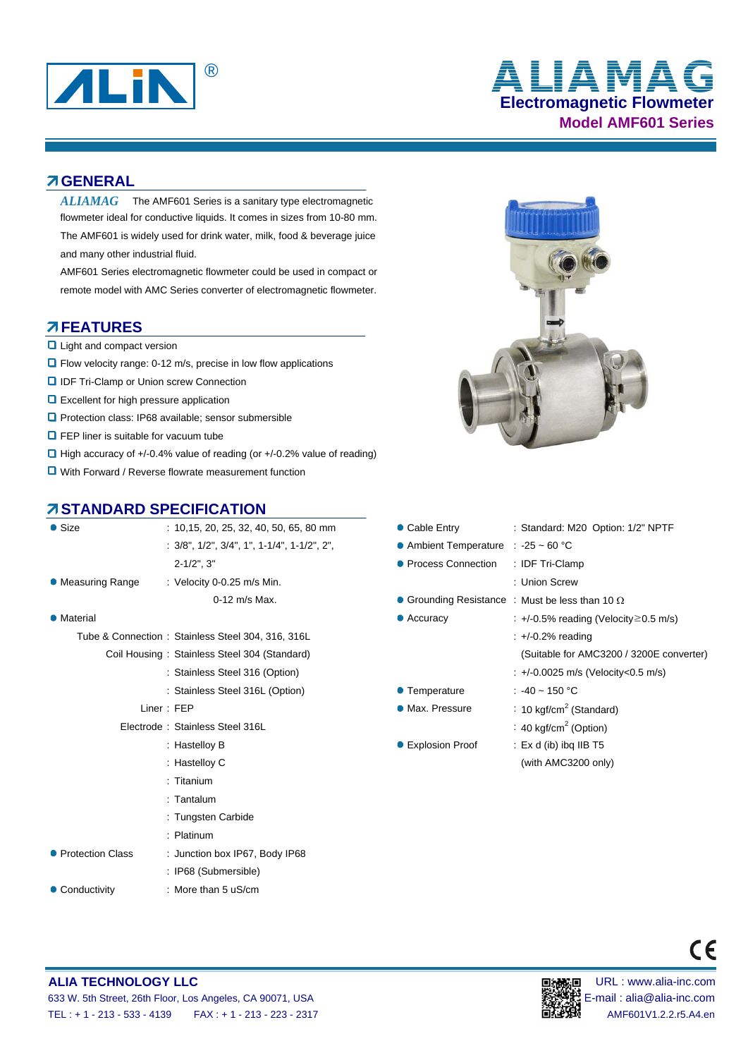

# **Electromagnetic Flowmeter Model AMF601 Series** ® **ALIAMAG**

#### **GENERAL**

 $ALIAMAG$  The AMF601 Series is a sanitary type electromagnetic flowmeter ideal for conductive liquids. It comes in sizes from 10-80 mm. The AMF601 is widely used for drink water, milk, food & beverage juice and many other industrial fluid.

AMF601 Series electromagnetic flowmeter could be used in compact or remote model with AMC Series converter of electromagnetic flowmeter.

#### **FEATURES**

- **Q** Light and compact version
- Flow velocity range: 0-12 m/s, precise in low flow applications
- **D** IDF Tri-Clamp or Union screw Connection
- **Q** Excellent for high pressure application
- **Q** Protection class: IP68 available: sensor submersible
- **Q** FEP liner is suitable for vacuum tube
- $\Box$  High accuracy of +/-0.4% value of reading (or +/-0.2% value of reading)
- **□** With Forward / Reverse flowrate measurement function

## **STANDARD SPECIFICATION**

| $\bullet$ Size     | $: 10,15, 20, 25, 32, 40, 50, 65, 80$ mm                         | • Cable Entry                       | : Standard: M20 Option: 1/2" NPTF                      |  |  |  |
|--------------------|------------------------------------------------------------------|-------------------------------------|--------------------------------------------------------|--|--|--|
|                    | $: 3/8$ ", $1/2$ ", $3/4$ ", $1$ ", $1-1/4$ ", $1-1/2$ ", $2$ ", | • Ambient Temperature : -25 ~ 60 °C |                                                        |  |  |  |
|                    | $2 - 1/2$ ", $3$ "                                               | • Process Connection                | : IDF Tri-Clamp                                        |  |  |  |
| • Measuring Range  | : Velocity 0-0.25 m/s Min.                                       |                                     | : Union Screw                                          |  |  |  |
|                    | 0-12 m/s Max.                                                    |                                     | • Grounding Resistance : Must be less than 10 $\Omega$ |  |  |  |
| • Material         |                                                                  | $\bullet$ Accuracy                  | : +/-0.5% reading (Velocity $\geq$ 0.5 m/s)            |  |  |  |
|                    | Tube & Connection: Stainless Steel 304, 316, 316L                |                                     | $\div$ +/-0.2% reading                                 |  |  |  |
|                    | Coil Housing: Stainless Steel 304 (Standard)                     |                                     | (Suitable for AMC3200 / 3200E cor                      |  |  |  |
|                    | : Stainless Steel 316 (Option)                                   |                                     | : +/-0.0025 m/s (Velocity<0.5 m/s)                     |  |  |  |
|                    | : Stainless Steel 316L (Option)                                  | ● Temperature                       | : $-40 \sim 150$ °C                                    |  |  |  |
|                    | Liner: FEP                                                       | • Max. Pressure                     | : 10 kgf/cm <sup>2</sup> (Standard)                    |  |  |  |
|                    | Electrode: Stainless Steel 316L                                  |                                     | : 40 kgf/cm <sup>2</sup> (Option)                      |  |  |  |
|                    | : Hastelloy B                                                    | ● Explosion Proof                   | : $Ex d$ (ib) ibg IIB T5                               |  |  |  |
|                    | : Hastelloy C                                                    |                                     | (with AMC3200 only)                                    |  |  |  |
|                    | $:$ Titanium                                                     |                                     |                                                        |  |  |  |
|                    | $:$ Tantalum                                                     |                                     |                                                        |  |  |  |
|                    | : Tungsten Carbide                                               |                                     |                                                        |  |  |  |
|                    | : Platinum                                                       |                                     |                                                        |  |  |  |
| • Protection Class | : Junction box IP67, Body IP68                                   |                                     |                                                        |  |  |  |
|                    | : IP68 (Submersible)                                             |                                     |                                                        |  |  |  |
| • Conductivity     | : More than 5 uS/cm                                              |                                     |                                                        |  |  |  |
|                    |                                                                  |                                     |                                                        |  |  |  |



|            | <b>DARD SPECIFICATION</b>                                                                                                                                                                                                     |                                     |                                                        |
|------------|-------------------------------------------------------------------------------------------------------------------------------------------------------------------------------------------------------------------------------|-------------------------------------|--------------------------------------------------------|
|            | $: 10,15, 20, 25, 32, 40, 50, 65, 80$ mm                                                                                                                                                                                      | • Cable Entry                       | : Standard: M20 Option: 1/2" NPTF                      |
|            | $: 3/8$ ", $1/2$ ", $3/4$ ", $1$ ", $1-1/4$ ", $1-1/2$ ", $2$ ",                                                                                                                                                              | • Ambient Temperature : -25 ~ 60 °C |                                                        |
|            | $2 - 1/2$ ", $3$ "                                                                                                                                                                                                            | • Process Connection                | : IDF Tri-Clamp                                        |
| Range      | : Velocity 0-0.25 m/s Min.                                                                                                                                                                                                    |                                     | : Union Screw                                          |
|            | $0-12$ m/s Max.                                                                                                                                                                                                               |                                     | • Grounding Resistance : Must be less than 10 $\Omega$ |
|            |                                                                                                                                                                                                                               | $\bullet$ Accuracy                  | $\div$ +/-0.5% reading (Velocity $\geq$ 0.5 m/s)       |
|            | & Connection: Stainless Steel 304, 316, 316L                                                                                                                                                                                  |                                     | $\div$ +/-0.2% reading                                 |
|            | Coil Housing: Stainless Steel 304 (Standard)                                                                                                                                                                                  |                                     | (Suitable for AMC3200 / 3200E converter)               |
|            | : Stainless Steel 316 (Option)                                                                                                                                                                                                |                                     | : +/-0.0025 m/s (Velocity<0.5 m/s)                     |
|            | : Stainless Steel 316L (Option)                                                                                                                                                                                               | • Temperature                       | : $-40 - 150$ °C                                       |
| Liner: FEP |                                                                                                                                                                                                                               | • Max. Pressure                     | : 10 kgf/cm <sup>2</sup> (Standard)                    |
|            | Electrode: Stainless Steel 316L                                                                                                                                                                                               |                                     | : 40 kgf/cm <sup>2</sup> (Option)                      |
|            | : Hastelloy B                                                                                                                                                                                                                 | ● Explosion Proof                   | $:$ Ex d (ib) ibg IIB T5                               |
|            | : Hastelloy C                                                                                                                                                                                                                 |                                     | (with AMC3200 only)                                    |
|            | the continues of the contract of the contract of the contract of the contract of the contract of the contract of the contract of the contract of the contract of the contract of the contract of the contract of the contract |                                     |                                                        |



 $\epsilon$ 

#### **ALIA TECHNOLOGY LLC DEVICED AND RESOLUTION OF THE URL IN SECTION OF THE URL : www.alia-inc.com** 633 W. 5th Street, 26th Floor, Los Angeles, CA 90071, USA E-mail : alia@alia-inc.com TEL : + 1 - 213 - 533 - 4139 FAX : + 1 - 213 - 223 - 2317 AMF601V1.2.2.r5.A4.en

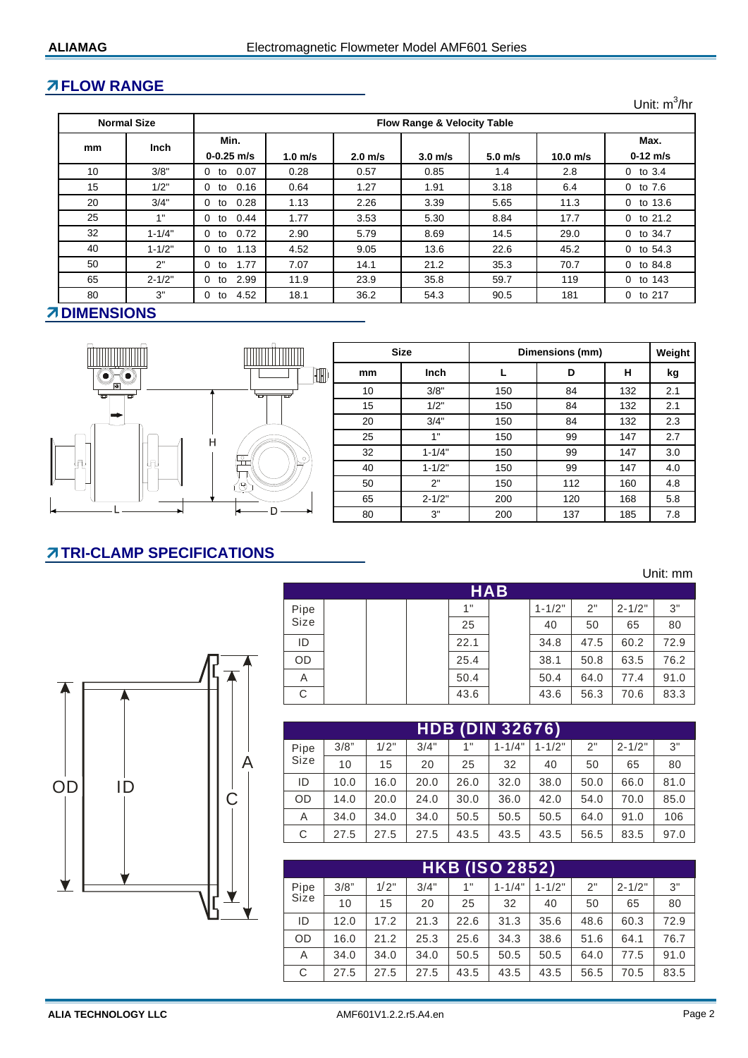## **FLOW RANGE**

**1.0 m/s 2.0 m/s 3.0 m/s 5.0 m/s 10.0 m/s** 10 3/8" 0 to 0.07 | 0.28 | 0.57 | 0.85 | 1.4 | 2.8 | 0 to 3.4 15 1/2" 0 to 0.16 0.64 1.27 1.91 3.18 6.4 0 to 7.6 20 | 3/4" | 0 to 0.28 | 1.13 | 2.26 | 3.39 | 5.65 | 11.3 | 0 to 13.6 25 **1 1 0 to 0.44 1.77 3.53 5.30 8.84 17.7** 0 to 21.2 32 1-1/4" 0 to 0.72 2.90 5.79 8.69 14.5 29.0 0 to 34.7 40 **1** 1-1/2" **0** to 1.13 **1** 4.52 **1** 9.05 **1** 13.6 **1** 22.6 **1** 45.2 **1** 0 to 54.3 50 2" 0 to 1.77 7.07 14.1 21.2 35.3 70.7 0 to 84.8 65 2-1/2" 0 to 2.99 11.9 23.9 35.8 59.7 119 0 to 143 80 | 3" | 0 to 4.52 | 18.1 | 36.2 | 54.3 | 90.5 | 181 | 0 to 217 **Normal Size Flow Range & Velocity Table mm Inch 0-0.25 m/s 0-12 m/s Min. Max.** Unit: m<sup>3</sup>/hr

#### **ZDIMENSIONS**



|                                      |    | <b>Size</b> | Dimensions (mm) | Weight |     |     |
|--------------------------------------|----|-------------|-----------------|--------|-----|-----|
| $\mathbb I\hspace{-0.08cm}\mathbb I$ | mm | Inch        |                 | D      | н   | kg  |
|                                      | 10 | 3/8"        | 150             | 84     | 132 | 2.1 |
|                                      | 15 | 1/2"        | 150             | 84     | 132 | 2.1 |
|                                      | 20 | 3/4"        | 150             | 84     | 132 | 2.3 |
|                                      | 25 | 1"          | 150             | 99     | 147 | 2.7 |
|                                      | 32 | $1 - 1/4"$  | 150             | 99     | 147 | 3.0 |
|                                      | 40 | $1 - 1/2"$  | 150             | 99     | 147 | 4.0 |
|                                      | 50 | 2"          | 150             | 112    | 160 | 4.8 |
|                                      | 65 | $2 - 1/2"$  | 200             | 120    | 168 | 5.8 |
|                                      | 80 | 3"          | 200             | 137    | 185 | 7.8 |

# **TRI-CLAMP SPECIFICATIONS**

 $\begin{bmatrix} 0 & 1 & 0 \\ 0 & 1 & 0 \\ 0 & 0 & 0 \end{bmatrix}$ 

|      |  |      | <b>HAB</b> |            |      |            |      |
|------|--|------|------------|------------|------|------------|------|
| Pipe |  | 1"   |            | $1 - 1/2"$ | 2"   | $2 - 1/2"$ | 3"   |
| Size |  | 25   |            | 40         | 50   | 65         | 80   |
| ID   |  | 22.1 |            | 34.8       | 47.5 | 60.2       | 72.9 |
| OD   |  | 25.4 |            | 38.1       | 50.8 | 63.5       | 76.2 |
| A    |  | 50.4 |            | 50.4       | 64.0 | 77.4       | 91.0 |
| С    |  | 43.6 |            | 43.6       | 56.3 | 70.6       | 83.3 |

|   | <b>HDB (DIN 32676)</b> |      |      |      |      |            |            |      |            |      |  |
|---|------------------------|------|------|------|------|------------|------------|------|------------|------|--|
|   | Pipe                   | 3/8" | 1/2" | 3/4" | 1"   | $1 - 1/4"$ | $1 - 1/2"$ | 2"   | $2 - 1/2"$ | 3"   |  |
| А | Size                   | 10   | 15   | 20   | 25   | 32         | 40         | 50   | 65         | 80   |  |
|   | ID                     | 10.0 | 16.0 | 20.0 | 26.0 | 32.0       | 38.0       | 50.0 | 66.0       | 81.0 |  |
|   | <b>OD</b>              | 14.0 | 20.0 | 24.0 | 30.0 | 36.0       | 42.0       | 54.0 | 70.0       | 85.0 |  |
|   | A                      | 34.0 | 34.0 | 34.0 | 50.5 | 50.5       | 50.5       | 64.0 | 91.0       | 106  |  |
|   | С                      | 27.5 | 27.5 | 27.5 | 43.5 | 43.5       | 43.5       | 56.5 | 83.5       | 97.0 |  |

| <b>HKB (ISO 2852)</b> |      |      |      |      |            |            |      |            |      |  |  |
|-----------------------|------|------|------|------|------------|------------|------|------------|------|--|--|
| Pipe                  | 3/8" | 1/2" | 3/4" | 1"   | $1 - 1/4"$ | $1 - 1/2"$ | 2"   | $2 - 1/2"$ | 3"   |  |  |
| Size                  | 10   | 15   | 20   | 25   | 32         | 40         | 50   | 65         | 80   |  |  |
| ID                    | 12.0 | 17.2 | 21.3 | 22.6 | 31.3       | 35.6       | 48.6 | 60.3       | 72.9 |  |  |
| <b>OD</b>             | 16.0 | 21.2 | 25.3 | 25.6 | 34.3       | 38.6       | 51.6 | 64.1       | 76.7 |  |  |
| A                     | 34.0 | 34.0 | 34.0 | 50.5 | 50.5       | 50.5       | 64.0 | 77.5       | 91.0 |  |  |
| C                     | 27.5 | 27.5 | 27.5 | 43.5 | 43.5       | 43.5       | 56.5 | 70.5       | 83.5 |  |  |

Unit: mm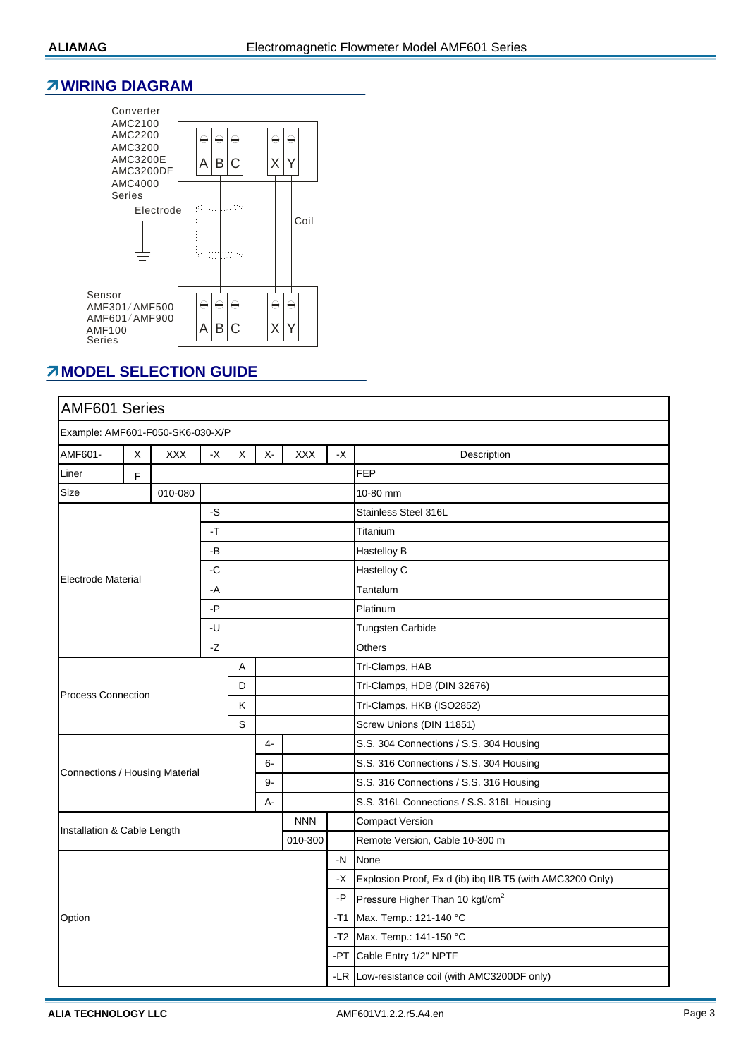#### **WIRING DIAGRAM**



## *MODEL SELECTION GUIDE*

| AMF601 Series                    |   |         |      |   |                     |            |                         |                                                           |  |  |
|----------------------------------|---|---------|------|---|---------------------|------------|-------------------------|-----------------------------------------------------------|--|--|
| Example: AMF601-F050-SK6-030-X/P |   |         |      |   |                     |            |                         |                                                           |  |  |
| AMF601-                          | X | XXX     | -X   | X | $X-$<br>XXX<br>$-X$ |            |                         | Description                                               |  |  |
| Liner                            | F |         |      |   |                     |            |                         | <b>FEP</b>                                                |  |  |
| Size                             |   | 010-080 |      |   |                     |            |                         | 10-80 mm                                                  |  |  |
| -S                               |   |         |      |   |                     |            |                         | Stainless Steel 316L                                      |  |  |
|                                  |   |         | $-T$ |   |                     |            |                         | Titanium                                                  |  |  |
|                                  |   |         | -В   |   |                     |            |                         | Hastelloy B                                               |  |  |
| <b>Electrode Material</b>        |   |         | -C   |   |                     |            |                         | Hastelloy C                                               |  |  |
|                                  |   |         | -A   |   |                     |            |                         | Tantalum                                                  |  |  |
| -P<br>-U                         |   |         |      |   |                     | Platinum   |                         |                                                           |  |  |
|                                  |   |         |      |   |                     |            | <b>Tungsten Carbide</b> |                                                           |  |  |
|                                  |   |         | -Z   |   |                     |            |                         | Others                                                    |  |  |
|                                  |   |         |      | A |                     |            |                         | Tri-Clamps, HAB                                           |  |  |
| <b>Process Connection</b>        |   |         |      | D |                     |            |                         | Tri-Clamps, HDB (DIN 32676)                               |  |  |
|                                  |   |         |      | Κ |                     |            |                         | Tri-Clamps, HKB (ISO2852)                                 |  |  |
|                                  |   |         |      | S |                     |            |                         | Screw Unions (DIN 11851)                                  |  |  |
|                                  |   |         |      |   | 4-                  |            |                         | S.S. 304 Connections / S.S. 304 Housing                   |  |  |
| Connections / Housing Material   |   |         |      |   | $6-$                |            |                         | S.S. 316 Connections / S.S. 304 Housing                   |  |  |
|                                  |   |         |      |   | $9-$                |            |                         | S.S. 316 Connections / S.S. 316 Housing                   |  |  |
|                                  |   |         |      |   | $A -$               |            |                         | S.S. 316L Connections / S.S. 316L Housing                 |  |  |
| Installation & Cable Length      |   |         |      |   |                     | <b>NNN</b> |                         | <b>Compact Version</b>                                    |  |  |
|                                  |   |         |      |   |                     | 010-300    |                         | Remote Version, Cable 10-300 m                            |  |  |
|                                  |   |         |      |   |                     |            | $-N$                    | None                                                      |  |  |
|                                  |   |         |      |   |                     |            | -X                      | Explosion Proof, Ex d (ib) ibq IIB T5 (with AMC3200 Only) |  |  |
|                                  |   |         |      |   |                     |            | $-P$                    | Pressure Higher Than 10 kgf/cm <sup>2</sup>               |  |  |
| Option                           |   |         |      |   |                     |            | $-T1$                   | Max. Temp.: 121-140 °C                                    |  |  |
|                                  |   |         |      |   |                     |            | $-T2$                   | Max. Temp.: 141-150 °C                                    |  |  |
|                                  |   |         |      |   |                     |            | -PT                     | Cable Entry 1/2" NPTF                                     |  |  |
|                                  |   |         |      |   |                     |            |                         | -LR Low-resistance coil (with AMC3200DF only)             |  |  |